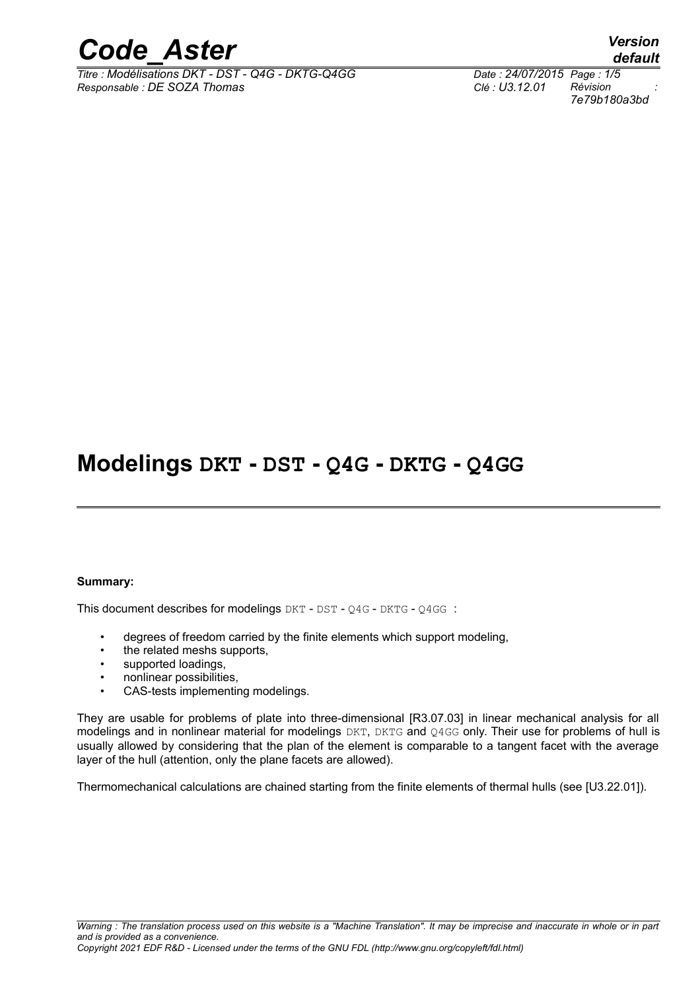

*Titre : Modélisations DKT - DST - Q4G - DKTG-Q4GG Date : 24/07/2015 Page : 1/5 Responsable : DE SOZA Thomas Clé : U3.12.01 Révision :*

*7e79b180a3bd*

## **Modelings DKT - DST - Q4G - DKTG - Q4GG**

#### **Summary:**

This document describes for modelings DKT - DST - Q4G - DKTG - Q4GG :

- degrees of freedom carried by the finite elements which support modeling,
- the related meshs supports.
- supported loadings,
- nonlinear possibilities,
- CAS-tests implementing modelings.

They are usable for problems of plate into three-dimensional [R3.07.03] in linear mechanical analysis for all modelings and in nonlinear material for modelings DKT, DKTG and Q4GG only. Their use for problems of hull is usually allowed by considering that the plan of the element is comparable to a tangent facet with the average layer of the hull (attention, only the plane facets are allowed).

Thermomechanical calculations are chained starting from the finite elements of thermal hulls (see [U3.22.01]).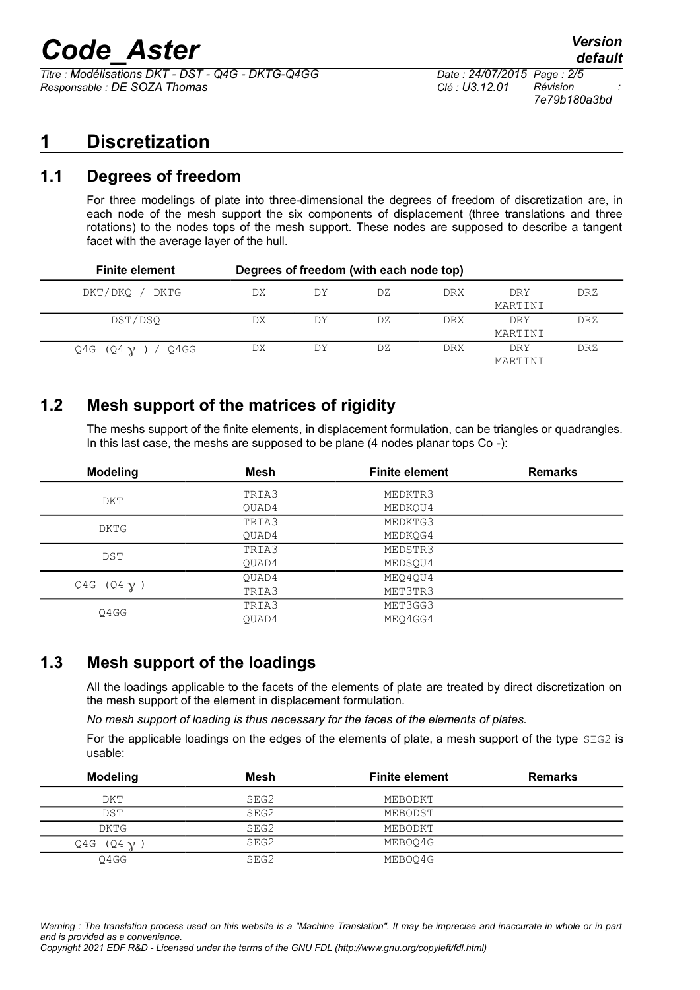# *Code\_Aster Version*

*Titre : Modélisations DKT - DST - Q4G - DKTG-Q4GG Date : 24/07/2015 Page : 2/5 Responsable : DE SOZA Thomas Clé : U3.12.01 Révision :*

*7e79b180a3bd*

## **1 Discretization**

## **1.1 Degrees of freedom**

For three modelings of plate into three-dimensional the degrees of freedom of discretization are, in each node of the mesh support the six components of displacement (three translations and three rotations) to the nodes tops of the mesh support. These nodes are supposed to describe a tangent facet with the average layer of the hull.

| <b>Finite element</b>   |    |    | Degrees of freedom (with each node top) |            |                |            |
|-------------------------|----|----|-----------------------------------------|------------|----------------|------------|
| DKT/DKO / DKTG          | DX | DY | DZ.                                     | DRX        | DRY<br>MARTINI | <b>DRZ</b> |
| DST/DSO                 | DX | DY | DZ                                      | <b>DRX</b> | DRY<br>MARTINI | <b>DRZ</b> |
| Q4G (Q4 $\chi$ ) / Q4GG | DX | DY | DZ.                                     | <b>DRX</b> | DRY<br>MARTINI | DRZ        |

## **1.2 Mesh support of the matrices of rigidity**

The meshs support of the finite elements, in displacement formulation, can be triangles or quadrangles. In this last case, the meshs are supposed to be plane (4 nodes planar tops Co -):

| <b>Modeling</b>   | Mesh  | <b>Finite element</b> | <b>Remarks</b> |
|-------------------|-------|-----------------------|----------------|
| DKT               | TRIA3 | MEDKTR3               |                |
|                   | OUAD4 | MEDKOU4               |                |
| DKTG              | TRIA3 | MEDKTG3               |                |
|                   | OUAD4 | MEDKOG4               |                |
| <b>DST</b>        | TRIA3 | MEDSTR3               |                |
|                   | OUAD4 | MEDSOU4               |                |
| Q4G $(Q4 \gamma)$ | OUAD4 | MEO4OU4               |                |
|                   | TRIA3 | MET3TR3               |                |
| 04GG              | TRIA3 | MET3GG3               |                |
|                   | OUAD4 | MEO4GG4               |                |

## **1.3 Mesh support of the loadings**

All the loadings applicable to the facets of the elements of plate are treated by direct discretization on the mesh support of the element in displacement formulation.

*No mesh support of loading is thus necessary for the faces of the elements of plates.*

For the applicable loadings on the edges of the elements of plate, a mesh support of the type SEG2 is usable:

| <b>Modeling</b> | Mesh | <b>Finite element</b> | <b>Remarks</b> |
|-----------------|------|-----------------------|----------------|
| DKT             | SEG2 | MEBODKT               |                |
| <b>DST</b>      | SEG2 | MEBODST               |                |
| DKTG            | SEG2 | MEBODKT               |                |
| Q4G $(Q4 \nu$   | SEG2 | MEBOO4G               |                |
| 04GG            | SEG2 | MEBOO4G               |                |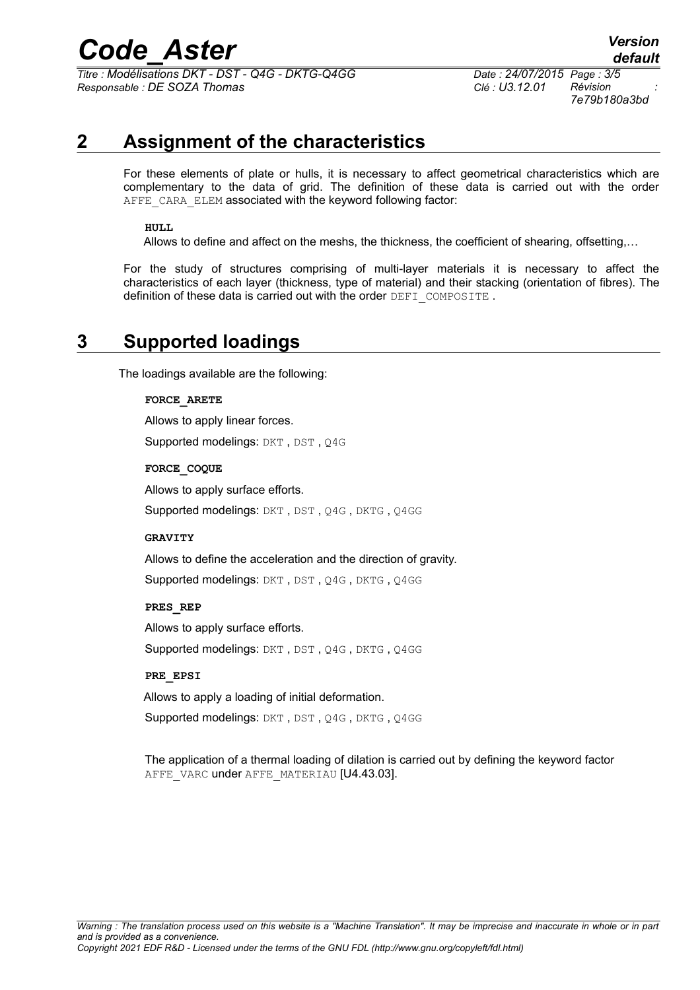## *Code\_Aster Version*

*Titre : Modélisations DKT - DST - Q4G - DKTG-Q4GG Date : 24/07/2015 Page : 3/5 Responsable : DE SOZA Thomas Clé : U3.12.01 Révision :*

*7e79b180a3bd*

## **2 Assignment of the characteristics**

For these elements of plate or hulls, it is necessary to affect geometrical characteristics which are complementary to the data of grid. The definition of these data is carried out with the order AFFE CARA ELEM associated with the keyword following factor:

### **HULL**

Allows to define and affect on the meshs, the thickness, the coefficient of shearing, offsetting,…

For the study of structures comprising of multi-layer materials it is necessary to affect the characteristics of each layer (thickness, type of material) and their stacking (orientation of fibres). The definition of these data is carried out with the order DEFI\_COMPOSITE.

## **3 Supported loadings**

The loadings available are the following:

#### **FORCE\_ARETE**

Allows to apply linear forces. Supported modelings: DKT, DST, Q4G

**FORCE\_COQUE**

Allows to apply surface efforts.

Supported modelings: DKT, DST, Q4G, DKTG, Q4GG

#### **GRAVITY**

Allows to define the acceleration and the direction of gravity.

Supported modelings: DKT , DST , Q4G , DKTG , Q4GG

### **PRES\_REP**

Allows to apply surface efforts. Supported modelings: DKT , DST , Q4G , DKTG , Q4GG

#### **PRE\_EPSI**

Allows to apply a loading of initial deformation.

Supported modelings: DKT, DST, Q4G, DKTG, Q4GG

The application of a thermal loading of dilation is carried out by defining the keyword factor AFFE\_VARC under AFFE\_MATERIAU [U4.43.03].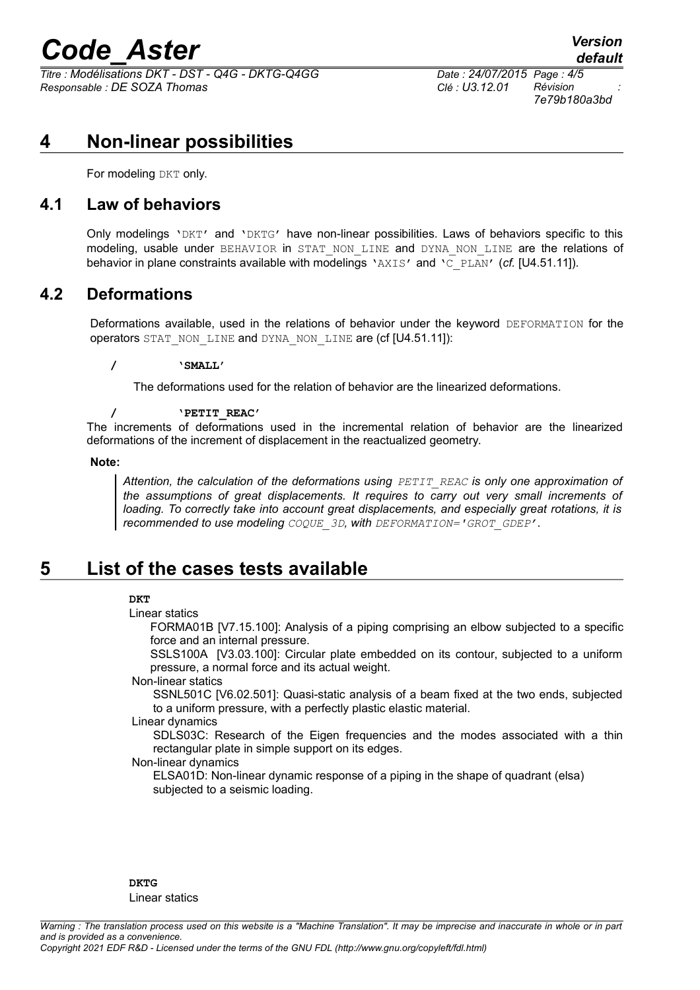# *Code\_Aster Version*

*Titre : Modélisations DKT - DST - Q4G - DKTG-Q4GG Date : 24/07/2015 Page : 4/5 Responsable : DE SOZA Thomas Clé : U3.12.01 Révision :*

*7e79b180a3bd*

## **4 Non-linear possibilities**

For modeling DKT only.

## **4.1 Law of behaviors**

Only modelings 'DKT' and 'DKTG' have non-linear possibilities. Laws of behaviors specific to this modeling, usable under BEHAVIOR in STAT NON LINE and DYNA NON LINE are the relations of behavior in plane constraints available with modelings 'AXIS' and 'C\_PLAN' (*cf.* [U4.51.11]).

## **4.2 Deformations**

Deformations available, used in the relations of behavior under the keyword DEFORMATION for the operators STAT\_NON\_LINE and DYNA\_NON\_LINE are (cf [U4.51.11]):

### **/ 'SMALL'**

The deformations used for the relation of behavior are the linearized deformations.

### **/ 'PETIT\_REAC'**

The increments of deformations used in the incremental relation of behavior are the linearized deformations of the increment of displacement in the reactualized geometry.

#### **Note:**

*Attention, the calculation of the deformations using PETIT\_REAC is only one approximation of the assumptions of great displacements. It requires to carry out very small increments of loading. To correctly take into account great displacements, and especially great rotations, it is recommended to use modeling COQUE\_3D, with DEFORMATION='GROT\_GDEP'*.

## **5 List of the cases tests available**

## **DKT**

Linear statics

FORMA01B [V7.15.100]: Analysis of a piping comprising an elbow subjected to a specific force and an internal pressure.

SSLS100A [V3.03.100]: Circular plate embedded on its contour, subjected to a uniform pressure, a normal force and its actual weight.

## Non-linear statics

SSNL501C [V6.02.501]: Quasi-static analysis of a beam fixed at the two ends, subjected to a uniform pressure, with a perfectly plastic elastic material.

#### Linear dynamics

SDLS03C: Research of the Eigen frequencies and the modes associated with a thin rectangular plate in simple support on its edges.

## Non-linear dynamics

ELSA01D: Non-linear dynamic response of a piping in the shape of quadrant (elsa) subjected to a seismic loading.

**DKTG** Linear statics

*Warning : The translation process used on this website is a "Machine Translation". It may be imprecise and inaccurate in whole or in part and is provided as a convenience. Copyright 2021 EDF R&D - Licensed under the terms of the GNU FDL (http://www.gnu.org/copyleft/fdl.html)*